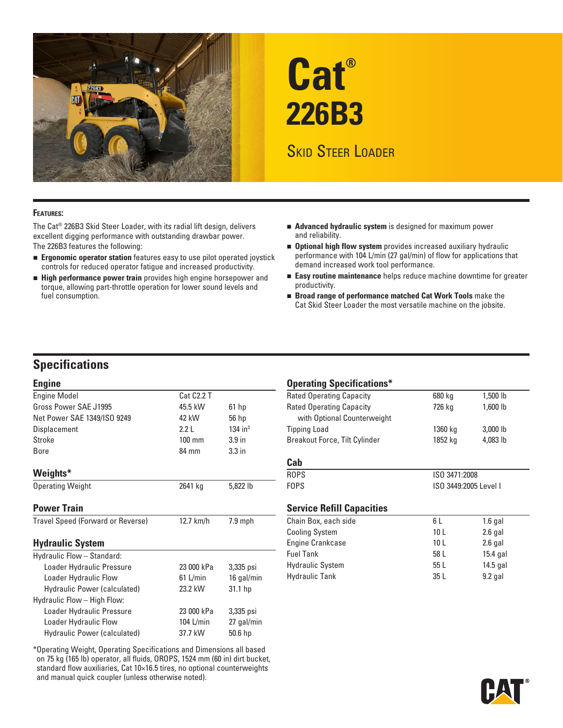

# **Cat® 226B3**

# **SKID STEER LOADER**

### **Features:**

The Cat® 226B3 Skid Steer Loader, with its radial lift design, delivers excellent digging performance with outstanding drawbar power. The 226B3 features the following:

- **Ergonomic operator station** features easy to use pilot operated joystick controls for reduced operator fatigue and increased productivity.
- **High performance power train** provides high engine horsepower and torque, allowing part-throttle operation for lower sound levels and fuel consumption.
- **Advanced hydraulic system** is designed for maximum power and reliability.
- **Optional high flow system** provides increased auxiliary hydraulic performance with 104 L/min (27 gal/min) of flow for applications that demand increased work tool performance.
- **Easy routine maintenance** helps reduce machine downtime for greater productivity.
- **Broad range of performance matched Cat Work Tools** make the Cat Skid Steer Loader the most versatile machine on the jobsite.

# **Specifications**

#### **Engine**

| <b>Engine Model</b>               | Cat C <sub>2.2</sub> T |                       |
|-----------------------------------|------------------------|-----------------------|
| Gross Power SAE J1995             | 45.5 kW                | 61 <sub>hp</sub>      |
| Net Power SAE 1349/ISO 9249       | 42 kW                  | 56 hp                 |
| Displacement                      | 2.21                   | $134$ in <sup>3</sup> |
| Stroke                            | $100 \text{ mm}$       | 3.9 <sub>in</sub>     |
| Bore                              | 84 mm                  | 3.3 <sub>in</sub>     |
| Weights*                          |                        |                       |
| <b>Operating Weight</b>           | 2641 kg                | 5,822 lb              |
| <b>Power Train</b>                |                        |                       |
| Travel Speed (Forward or Reverse) | 12.7 km/h              | $7.9$ mph             |
| <b>Hydraulic System</b>           |                        |                       |
| Hydraulic Flow - Standard:        |                        |                       |
| Loader Hydraulic Pressure         | 23 000 kPa             | 3,335 psi             |
| Loader Hydraulic Flow             | $61$ L/min             | 16 gal/min            |
| Hydraulic Power (calculated)      | 23.2 kW                | 31.1 hp               |
| Hydraulic Flow - High Flow:       |                        |                       |
| Loader Hydraulic Pressure         | 23 000 kPa             | 3,335 psi             |
| Loader Hydraulic Flow             | 104 L/min              | 27 gal/min            |
| Hydraulic Power (calculated)      | 37.7 kW                | 50.6 hp               |

\*Operating Weight, Operating Specifications and Dimensions all based on 75 kg (165 lb) operator, all fluids, OROPS, 1524 mm (60 in) dirt bucket, standard flow auxiliaries, Cat 10×16.5 tires, no optional counterweights and manual quick coupler (unless otherwise noted).

# **Operating Specifications\***

| 680 kg  | 1,500 lb   |  |
|---------|------------|--|
| 726 kg  | 1,600 lb   |  |
|         |            |  |
| 1360 kg | $3,000$ lb |  |
| 1852 kg | 4,083 lb   |  |
|         |            |  |
|         |            |  |
|         |            |  |

# ROPS ISO 3471:2008 FOPS ISO 3449:2005 Level I

# **Service Refill Capacities**

| Chain Box, each side    | 6 L             | $1.6$ gal  |
|-------------------------|-----------------|------------|
| <b>Cooling System</b>   | 10 <sub>L</sub> | $2.6$ gal  |
| Engine Crankcase        | 10 <sub>L</sub> | $2.6$ gal  |
| <b>Fuel Tank</b>        | 58 L            | $15.4$ gal |
| <b>Hydraulic System</b> | 55L             | 14.5 gal   |
| <b>Hydraulic Tank</b>   | 35L             | $9.2$ gal  |
|                         |                 |            |

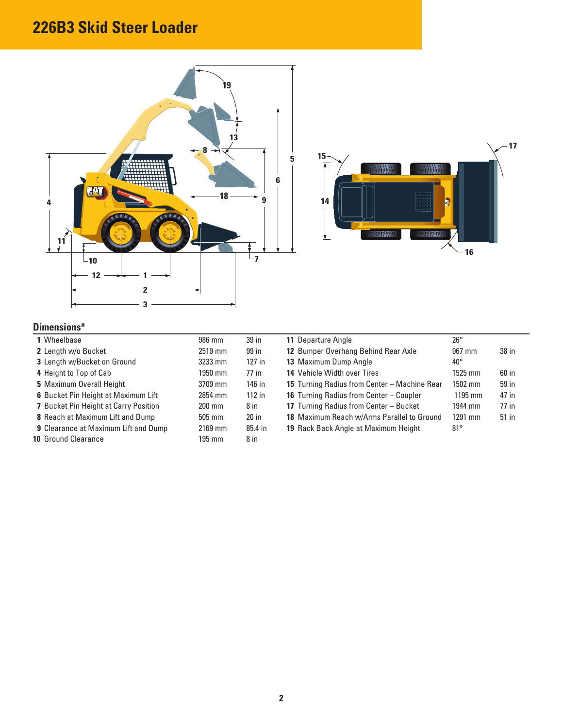# **226B3 Skid Steer Loader**





# **Dimensions\***

| 1 Wheelbase                                 | 986 mm           | 39 in    | 11 Departure Angle                             | $26^{\circ}$ |       |
|---------------------------------------------|------------------|----------|------------------------------------------------|--------------|-------|
| 2 Length w/o Bucket                         | 2519 mm          | 99 in    | 12 Bumper Overhang Behind Rear Axle            | 967 mm       | 38 in |
| 3 Length w/Bucket on Ground                 | 3233 mm          | $127$ in | 13 Maximum Dump Angle                          | $40^{\circ}$ |       |
| 4 Height to Top of Cab                      | 1950 mm          | 77 in    | 14 Vehicle Width over Tires                    | 1525 mm      | 60 in |
| 5 Maximum Overall Height                    | 3709 mm          | 146 in   | 15 Turning Radius from Center - Machine Rear   | 1502 mm      | 59 in |
| 6 Bucket Pin Height at Maximum Lift         | 2854 mm          | $112$ in | <b>16</b> Turning Radius from Center – Coupler | 1195 mm      | 47 in |
| 7 Bucket Pin Height at Carry Position       | $200 \text{ mm}$ | $8$ in   | 17 Turning Radius from Center - Bucket         | 1944 mm      | 77 in |
| 8 Reach at Maximum Lift and Dump            | $505 \text{ mm}$ | $20$ in  | 18 Maximum Reach w/Arms Parallel to Ground     | 1291 mm      | 51 in |
| <b>9 Clearance at Maximum Lift and Dump</b> | 2169 mm          | 85.4 in  | 19 Rack Back Angle at Maximum Height           | $81^{\circ}$ |       |
| <b>10 Ground Clearance</b>                  | 195 mm           | 8 in     |                                                |              |       |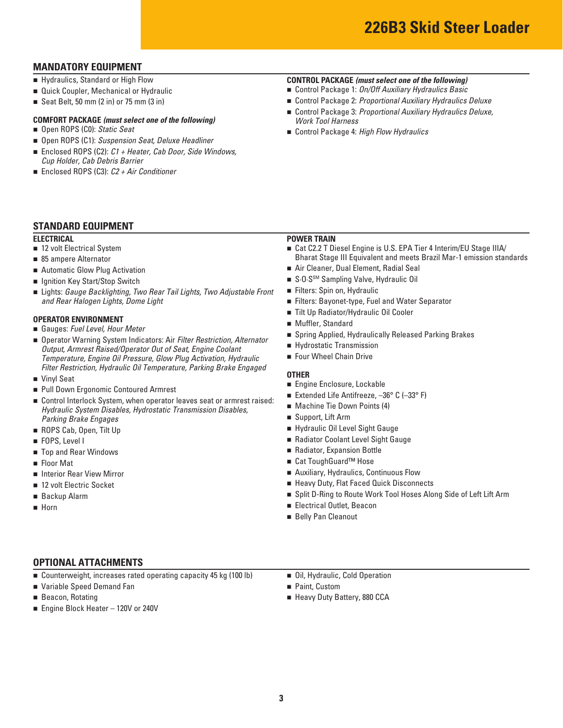# **MANDATORY EQUIPMENT**

- Hydraulics, Standard or High Flow
- **Quick Coupler, Mechanical or Hydraulic**
- Seat Belt, 50 mm  $(2 \text{ in})$  or 75 mm  $(3 \text{ in})$

# **COMFORT PACKAGE** *(must select one of the following)*

- Open ROPS (C0): Static Seat
- Open ROPS (C1): *Suspension Seat, Deluxe Headliner*
- Enclosed ROPS (C2): *C1* + Heater, *Cab Door*, *Side Windows*, *Cup Holder, Cab Debris Barrier*
- Enclosed ROPS (C3): *C2 + Air Conditioner*

# **STANDARD EQUIPMENT**

#### **ELECTRICAL**

- 12 volt Electrical System
- 85 ampere Alternator
- Automatic Glow Plug Activation
- Ignition Key Start/Stop Switch
- Lights: Gauge Backlighting, Two Rear Tail Lights, Two Adjustable Front *and Rear Halogen Lights, Dome Light*

#### **OPERATOR ENVIRONMENT**

- Gauges: *Fuel Level, Hour Meter*
- Operator Warning System Indicators: Air *Filter Restriction, Alternator Output, Armrest Raised/Operator Out of Seat, Engine Coolant Temperature, Engine Oil Pressure, Glow Plug Activation, Hydraulic Filter Restriction, Hydraulic Oil Temperature, Parking Brake Engaged*
- Vinyl Seat
- Pull Down Ergonomic Contoured Armrest
- Control Interlock System, when operator leaves seat or armrest raised: *Hydraulic System Disables, Hydrostatic Transmission Disables, Parking Brake Engages*
- ROPS Cab, Open, Tilt Up
- **FOPS, Level I**
- Top and Rear Windows
- Floor Mat
- **Interior Rear View Mirror**
- 12 volt Electric Socket
- Backup Alarm
- **Horn**

# **CONTROL PACKAGE** *(must select one of the following)*

- Control Package 1: *On/Off Auxiliary Hydraulics Basic*
- Control Package 2: *Proportional Auxiliary Hydraulics Deluxe*
- Control Package 3: *Proportional Auxiliary Hydraulics Deluxe*, *Work Tool Harness*
- Control Package 4: *High Flow Hydraulics*

# **POWER TRAIN**

- Cat C2.2 T Diesel Engine is U.S. EPA Tier 4 Interim/EU Stage IIIA/ Bharat Stage III Equivalent and meets Brazil Mar-1 emission standards
- Air Cleaner, Dual Element, Radial Seal
- S.O.S<sup>SM</sup> Sampling Valve, Hydraulic Oil
- Filters: Spin on, Hydraulic
- Filters: Bayonet-type, Fuel and Water Separator
- Tilt Up Radiator/Hydraulic Oil Cooler
- **Muffler, Standard**
- Spring Applied, Hydraulically Released Parking Brakes
- Hydrostatic Transmission
- **Four Wheel Chain Drive**

#### **OTHER**

- Engine Enclosure, Lockable
- Extended Life Antifreeze, -36° C (-33° F)
- Machine Tie Down Points (4)
- Support, Lift Arm
- Hydraulic Oil Level Sight Gauge
- Radiator Coolant Level Sight Gauge
- Radiator, Expansion Bottle
- Cat ToughGuard<sup>™</sup> Hose
- Auxiliary, Hydraulics, Continuous Flow
- **Heavy Duty, Flat Faced Quick Disconnects**
- Split D-Ring to Route Work Tool Hoses Along Side of Left Lift Arm
- Electrical Outlet, Beacon
- Belly Pan Cleanout

# **OPTIONAL ATTACHMENTS**

- Counterweight, increases rated operating capacity 45 kg (100 lb)
- Variable Speed Demand Fan
- Beacon, Rotating
- Engine Block Heater 120V or 240V
- Oil, Hydraulic, Cold Operation
- Paint, Custom
- Heavy Duty Battery, 880 CCA